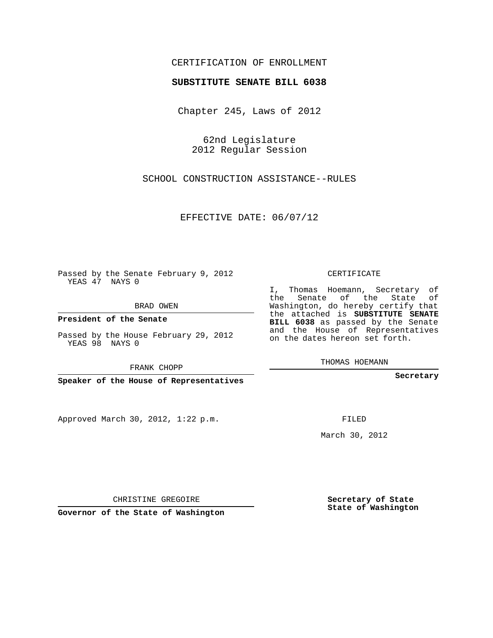## CERTIFICATION OF ENROLLMENT

## **SUBSTITUTE SENATE BILL 6038**

Chapter 245, Laws of 2012

62nd Legislature 2012 Regular Session

SCHOOL CONSTRUCTION ASSISTANCE--RULES

EFFECTIVE DATE: 06/07/12

Passed by the Senate February 9, 2012 YEAS 47 NAYS 0

BRAD OWEN

**President of the Senate**

Passed by the House February 29, 2012 YEAS 98 NAYS 0

FRANK CHOPP

**Speaker of the House of Representatives**

Approved March 30, 2012, 1:22 p.m.

CERTIFICATE

I, Thomas Hoemann, Secretary of the Senate of the State of Washington, do hereby certify that the attached is **SUBSTITUTE SENATE BILL 6038** as passed by the Senate and the House of Representatives on the dates hereon set forth.

THOMAS HOEMANN

**Secretary**

FILED

March 30, 2012

**Secretary of State State of Washington**

CHRISTINE GREGOIRE

**Governor of the State of Washington**